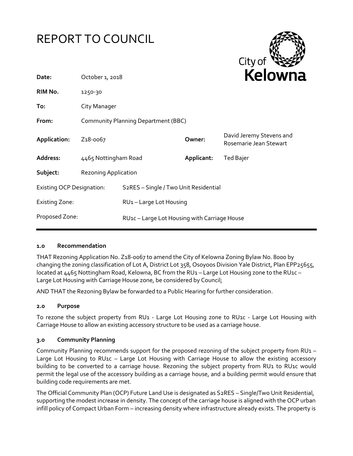



| Date:                            | October 1, 2018                            |                                                           | <b>NEIUWI</b> k |                                                    |
|----------------------------------|--------------------------------------------|-----------------------------------------------------------|-----------------|----------------------------------------------------|
| RIM No.                          | 1250-30                                    |                                                           |                 |                                                    |
| To:                              | City Manager                               |                                                           |                 |                                                    |
| From:                            | <b>Community Planning Department (BBC)</b> |                                                           |                 |                                                    |
| Application:                     | Z <sub>1</sub> 8-0067                      |                                                           | Owner:          | David Jeremy Stevens and<br>Rosemarie Jean Stewart |
| Address:                         | 4465 Nottingham Road                       |                                                           | Applicant:      | Ted Bajer                                          |
| Subject:                         | <b>Rezoning Application</b>                |                                                           |                 |                                                    |
| <b>Existing OCP Designation:</b> |                                            | S <sub>2</sub> RES - Single / Two Unit Residential        |                 |                                                    |
| <b>Existing Zone:</b>            |                                            | RU1-Large Lot Housing                                     |                 |                                                    |
| Proposed Zone:                   |                                            | RU <sub>1</sub> c – Large Lot Housing with Carriage House |                 |                                                    |
|                                  |                                            |                                                           |                 |                                                    |

#### **1.0 Recommendation**

THAT Rezoning Application No. Z18-0067 to amend the City of Kelowna Zoning Bylaw No. 8000 by changing the zoning classification of Lot A, District Lot 358, Osoyoos Division Yale District, Plan EPP25655, located at 4465 Nottingham Road, Kelowna, BC from the RU1 - Large Lot Housing zone to the RU1c -Large Lot Housing with Carriage House zone, be considered by Council;

AND THAT the Rezoning Bylaw be forwarded to a Public Hearing for further consideration.

#### **2.0 Purpose**

To rezone the subject property from RU1 - Large Lot Housing zone to RU1c - Large Lot Housing with Carriage House to allow an existing accessory structure to be used as a carriage house.

#### **3.0 Community Planning**

Community Planning recommends support for the proposed rezoning of the subject property from RU1 – Large Lot Housing to RU1c - Large Lot Housing with Carriage House to allow the existing accessory building to be converted to a carriage house. Rezoning the subject property from RU1 to RU1c would permit the legal use of the accessory building as a carriage house, and a building permit would ensure that building code requirements are met.

The Official Community Plan (OCP) Future Land Use is designated as S2RES – Single/Two Unit Residential, supporting the modest increase in density. The concept of the carriage house is aligned with the OCP urban infill policy of Compact Urban Form – increasing density where infrastructure already exists. The property is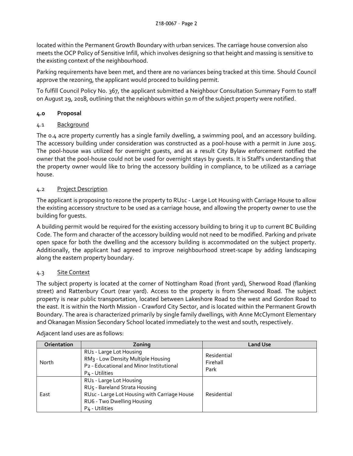located within the Permanent Growth Boundary with urban services. The carriage house conversion also meets the OCP Policy of Sensitive Infill, which involves designing so that height and massing is sensitive to the existing context of the neighbourhood.

Parking requirements have been met, and there are no variances being tracked at this time. Should Council approve the rezoning, the applicant would proceed to building permit.

To fulfill Council Policy No. 367, the applicant submitted a Neighbour Consultation Summary Form to staff on August 29, 2018, outlining that the neighbours within 50 m of the subject property were notified.

# **4.0 Proposal**

# 4.1 Background

The 0.4 acre property currently has a single family dwelling, a swimming pool, and an accessory building. The accessory building under consideration was constructed as a pool-house with a permit in June 2015. The pool-house was utilized for overnight guests, and as a result City Bylaw enforcement notified the owner that the pool-house could not be used for overnight stays by guests. It is Staff's understanding that the property owner would like to bring the accessory building in compliance, to be utilized as a carriage house.

# 4.2 Project Description

The applicant is proposing to rezone the property to RU1c - Large Lot Housing with Carriage House to allow the existing accessory structure to be used as a carriage house, and allowing the property owner to use the building for guests.

A building permit would be required for the existing accessory building to bring it up to current BC Building Code. The form and character of the accessory building would not need to be modified. Parking and private open space for both the dwelling and the accessory building is accommodated on the subject property. Additionally, the applicant had agreed to improve neighbourhood street-scape by adding landscaping along the eastern property boundary.

# 4.3 Site Context

The subject property is located at the corner of Nottingham Road (front yard), Sherwood Road (flanking street) and Rattenbury Court (rear yard). Access to the property is from Sherwood Road. The subject property is near public transportation, located between Lakeshore Road to the west and Gordon Road to the east. It is within the North Mission - Crawford City Sector, and is located within the Permanent Growth Boundary. The area is characterized primarily by single family dwellings, with Anne McClymont Elementary and Okanagan Mission Secondary School located immediately to the west and south, respectively.

| Orientation | Zoning                                                                                                                                                               | <b>Land Use</b>                 |
|-------------|----------------------------------------------------------------------------------------------------------------------------------------------------------------------|---------------------------------|
| North       | RU1 - Large Lot Housing<br>RM <sub>3</sub> - Low Density Multiple Housing<br>P2 - Educational and Minor Institutional<br>P <sub>4</sub> - Utilities                  | Residential<br>Firehall<br>Park |
| East        | RU1 - Large Lot Housing<br>RU5 - Bareland Strata Housing<br>RU1c - Large Lot Housing with Carriage House<br>RU6 - Two Dwelling Housing<br>P <sub>4</sub> - Utilities | Residential                     |

Adjacent land uses are as follows: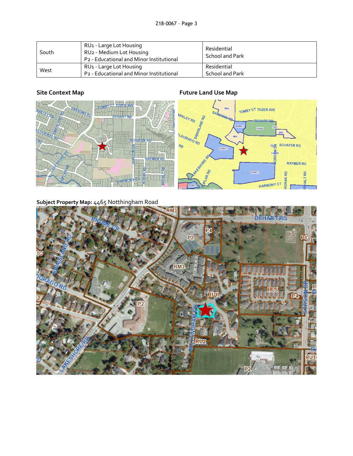| South | RU <sub>1</sub> - Large Lot Housing<br>RU <sub>2</sub> - Medium Lot Housing<br>P <sub>2</sub> - Educational and Minor Institutional | Residential<br>School and Park |
|-------|-------------------------------------------------------------------------------------------------------------------------------------|--------------------------------|
| West  | RU <sub>1</sub> - Large Lot Housing                                                                                                 | Residential                    |
|       | P <sub>2</sub> - Educational and Minor Institutional                                                                                | School and Park                |

# **Site Context Map Future Land Use Map**



**Subject Property Map:** 4465 Notthingham Road

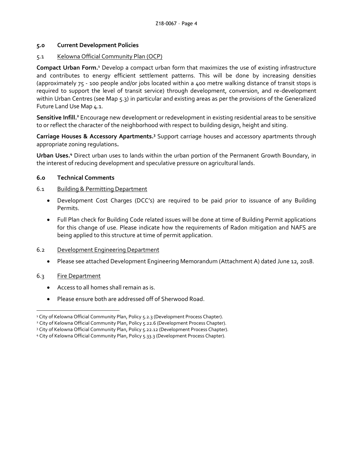#### **5.0 Current Development Policies**

### 5.1 Kelowna Official Community Plan (OCP)

**Compact Urban Form.<sup>1</sup>** Develop a compact urban form that maximizes the use of existing infrastructure and contributes to energy efficient settlement patterns. This will be done by increasing densities (approximately 75 - 100 people and/or jobs located within a 400 metre walking distance of transit stops is required to support the level of transit service) through development, conversion, and re-development within Urban Centres (see Map 5.3) in particular and existing areas as per the provisions of the Generalized Future Land Use Map 4.1.

**Sensitive Infill.<sup>2</sup>** Encourage new development or redevelopment in existing residential areas to be sensitive to or reflect the character of the neighborhood with respect to building design, height and siting.

Carriage Houses & Accessory Apartments.<sup>3</sup> Support carriage houses and accessory apartments through appropriate zoning regulations**.**

**Urban Uses.<sup>4</sup>** Direct urban uses to lands within the urban portion of the Permanent Growth Boundary, in the interest of reducing development and speculative pressure on agricultural lands.

### **6.0 Technical Comments**

### 6.1 Building & Permitting Department

- Development Cost Charges (DCC's) are required to be paid prior to issuance of any Building Permits.
- Full Plan check for Building Code related issues will be done at time of Building Permit applications for this change of use. Please indicate how the requirements of Radon mitigation and NAFS are being applied to this structure at time of permit application.

#### 6.2 Development Engineering Department

Please see attached Development Engineering Memorandum (Attachment A) dated June 12, 2018.

# 6.3 Fire Department

-

- Access to all homes shall remain as is.
- Please ensure both are addressed off of Sherwood Road.

<sup>&</sup>lt;sup>1</sup> City of Kelowna Official Community Plan, Policy 5.2.3 (Development Process Chapter).

<sup>&</sup>lt;sup>2</sup> City of Kelowna Official Community Plan, Policy 5.22.6 (Development Process Chapter).

<sup>3</sup> City of Kelowna Official Community Plan, Policy 5.22.12 (Development Process Chapter).

<sup>4</sup> City of Kelowna Official Community Plan, Policy 5.33.3 (Development Process Chapter).